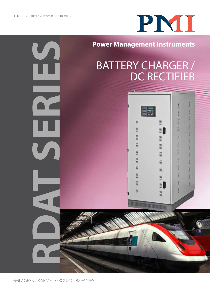$\overline{\mathcal{L}}$ 

**RDAT SERIES**

V

# PNII

### **Power Management Instruments**

## BATTERY CHARGER / DC RECTIFIER



PMI / GESS / KARMET GROUP COMPANIES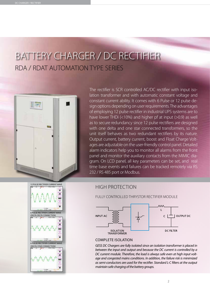## BATTERY CHARGER / DC RECTIFIER RDA / RDAT AUTOMATION TYPE SERIES



The rectifier is SCR controlled AC/DC rectifier with input isolation transformer and with automatic constant voltage and constant current ability. It comes with 6 Pulse or 12 pulse design options depending on user requirements. The advantages of employing 12 pulse rectifier in industrial UPS systems are to have lower THDi (<10%) and higher pf at input (>0.9) as well as to secure redundancy since 12 pulse rectifiers are designed with one delta and one star connected transformers, so the unit itself behaves as two redundant rectifiers by its nature. Output current, battery current, boost and Float Charge Voltages are adjustable on the user-friendly control panel. Detailed alarm indicators help you to monitor all alarms from the front panel and monitor the auxiliary contacts from the MIMIC diagram. On LCD panel, all key parameters can be set, and real time base events and failures can be tracked remotely via RS 232 / RS 485 port or Modbus.

#### High Protection



FULLY CONTROLLED THRYSTOR RECTIFIER MODULE



#### Complete Isolation

*GESS DC Chargers are fully isolated since an isolation transformer is placed in between the input and output and because the DC current is controlled by a DC current module. Therefore, the load is always safe even at high input voltage and congested mains conditions. In addition, the failure risk is minimized as semi-conductors are used for the rectifier. Standard L-C filters at the output maintain safe charging of the battery groups.*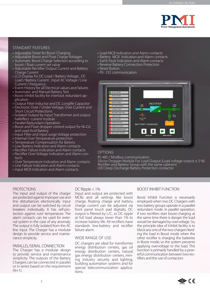

#### Standart Features

- Adjustable Timer for Boost Charging
- Adjustable Boost and Float Charge Voltages
- Automatic Boost Charge Selection according to boost / float current set value
- Adjustable Rectifier Output Current and Battery Charge Current
- LCD Display for DC Load / Battery Voltage, DC Load / Battery Current , Input AC Voltage / Line Current / Frequency
- Event History for all Electrical values and failures
- Automatic and Manuel Battery Test
- Boost inhibit facility for interlock redundant application
- Output Filter Inductor and DC Longlife Capacitor
- Electronic Over / Under Voltage, Over Current and Short Circuit Protections
- Isolated Output by Input Transformer and output halleffect current module
- Parallel Redundant Operation
- Boost and Float dropper control output for Ni-Cd and Lead Acid Battery
- Input Filter and input surge Voltage protection
- Internal Over Temperature protection
- Temperature Compensation for Battery
- Low Battery Indication and Alarm contacts • Rectifier Failure Indication and Alarm contacts
- Rectifier Over Voltage Indication and Alarm contacts
- Over Temperature Indication and Alarm contacts
- Line Failure Indication and Alarm contacts
- Input MCB Indication and Alarm contacts
- • Load MCB Indication and Alarm contacts
- Battery MCB Indication and Alarm contacts
- Earth Fault Indication and Alarm contacts
- Reverse Battery Connection Protection
- Reset Button
- RS-232 communication

| FLOAT MODE<br><b>BOOST MODE</b> |                                                              |
|---------------------------------|--------------------------------------------------------------|
| <b>CURRENT MODE</b>             |                                                              |
| <b>BOOST INHIBIT</b>            |                                                              |
| <b>BATTERY ENDING</b>           | <b>RECTIFIER</b><br>LOAD<br>LINE<br><b>MCB</b><br><b>MCB</b> |
| <b>LOW BATTERY</b>              | $\sim$                                                       |
| <b>BATTERY TEST FAIL</b>        |                                                              |
| <b>LINE FAILURE</b>             | BATT.<br><b>MCB</b>                                          |
| <b>FAN FAILURE</b>              | <b>SCR FUSE</b><br>FAIL.                                     |
| <b>OVER VOLTAGE</b>             | <b>BATTERY</b><br><b>BATTERY CHARGER</b>                     |
| <b>UNDER VOLTAGE</b>            |                                                              |
| <b>OVER TEMPERATURE</b>         | $\blacksquare$<br>▎(▀                                        |
| <b>RECTIFIER FAILURE</b>        | <b>MENU SET</b><br><b>MENU SELECT</b>                        |

#### OPTIONS

RS 485 / Modbus communication Silicon Dropper Module For Load Output (Load voltage output  $\pm$  5 %) Rectifier and Battery Group with the same cabinent LVD Deep Discharge Battery Protection contactor

#### PROTECTIONS

The input and output of the charger are protected against improper use and line disturbances electronically. Input and output can be switched by circuit breakers individually. It has self-protection against over temperature. The alarm contacts can be used for external system in the case of any anomaly. The output is fully isolated from the AC line input. The Charger has a modular design to provide service and maintenance simplicity.

#### PARALLEL/SERIAL CONNECTION

The Charger has a modular design to provide service and maintenance simplicity. The outputs of the Battery Chargers can be connected in parallel or in series based on the requirement  $(N+1)$ .

#### DC Ripple  $< 1\%$

Input and output are protected with MCBs and all settings like boost charge, floating charge and battery charge current can be adjusted via front panel touch pad digitally. DC output is filtered by L/C, so DC ripple at full load always lower than 1% to increase battery life. All rectifiers have standards low-battery and rectifier failure alarm.

#### Wide Range of Use

DC chargers are ideal for transformer energy distribution centers, gas oil energy distribution centers, natural gas energy distribution centers, mining industry security and lighting, building automation systems and for special telecommunication applications.

#### BOOST INHIBIT FUNCTION

Boost Inhibit Function is necessarily employed when two DC Chargers with two battery groups operate in a parallel redundant mode. In parallel operation, if two rectifiers start boost-charging at the same time there is danger the load would be damaged by overvoltage. So, the principle idea of Inhibit facility is to block any one of the two chargers feeding the load in Boost mode when the other rectifier is charging the batteries in Boost mode; so the system prevents applying overvoltage to the load. This function is primarily handled by a powerful communication between two rectifiers and the use of contactors

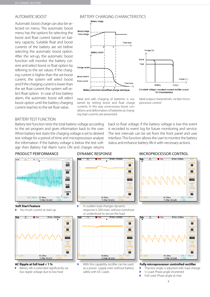#### AUTOMATIC BOOST

Automatic boost charge can also be selected on menu. The automatic boost menu has the options for selecting the boost and float current based on battery capacity. Suitable float and boost currents of the battery are set before selecting the automatic boost option. After the set-up, the automatic boost function will monitor the battery current and select boost or float option by referring to the set values. If the charging current is higher than the set boost current, the system will select boost and if the charging current is lower than the set float current the system will select float option. In case of low battery alarm, the automatic boost will select boost option until the battery charging current reaches to the set float value.

#### BATTERY CHARGING CHARACTERISTICS



Ideal and safe charging of batteries is sustained by setting boost and float charge currents. In this way unnecessary boost conditions and deformation of batteries at changing load currents are prevented.



Ideal output characteristic via fast microprocessor control

#### BATTERY TEST FUNCTION

Battery test function tests the total battery voltage according to the set program and gives information back to the user. When battery test starts the charging voltage is set to desired test voltage for a period of time and microprocessor analyze the information. If the battery voltage is below the test voltage then Battery Fail Alarm turns ON and charger returns

back to float voltage. If the battery voltage is low this event is recorded to event log for future monitoring and service. The test intervals can be set from the front panel and user interface. This function allows the user to monitor the battery status and enhance battery life it with necessary actions.

#### PRODUCT PERFORMANCE



#### Dynamic Response



#### Microprocessor Control



#### **Soft Start Feature**

No inrush current at start up



#### **AC Ripple at full load < 1 %**

Battery life is extended significantly via low ripple voltage due to low heat





With this capability rectifier can be used as a power supply even without battery safely with DC Loads



**Fully microprocessor controlled rectifier**

- Ń Thyristor angle is adjusted with load change
- ½ Load: Phase angle shortened
- Full Load: Phase angle at max

 $\ddot{\phantom{1}}$ 

4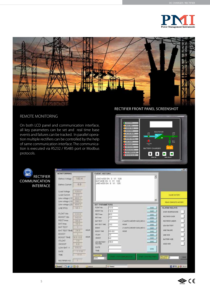



#### REMOTE MONITORING

On both LCD panel and communication interface, all key parameters can be set and real time base events and failures can be tracked. In parallel operation multiple rectifiers can be controlled by the help of same communication interface. The communication is executed via RS232 / RS485 port or Modbus protocols.

Rectifier Front Panel Screenshot



| <b>RECTIFIER</b>     |
|----------------------|
| <b>COMMUNICATION</b> |
| <b>INTERFACE</b>     |
|                      |

| <b>MONITORRING</b>        |       |               | <b>EVENT HISTORY</b>  |                                   |                               |                            |              |                                |             |
|---------------------------|-------|---------------|-----------------------|-----------------------------------|-------------------------------|----------------------------|--------------|--------------------------------|-------------|
| Battery Voltage           | 132.4 |               | LOAD MCB ON 0         | 1/1 12/0<br>BAT MCB ON 0 1/1 12/0 |                               |                            | 츼            |                                |             |
| <b>Battery Current</b>    | 0.0   |               |                       | LINE MCB ON 0 1/1 12/0            |                               |                            |              |                                |             |
| Load Voltage              | 128.6 |               |                       |                                   |                               |                            |              |                                |             |
| <b>Load Current</b>       | D.0   |               |                       |                                   |                               |                            |              | CLEAR HISTORY                  |             |
| Line voltage L12          | 403.7 |               |                       |                                   |                               |                            |              |                                |             |
| Line voltage L13          | 398.1 |               |                       |                                   |                               |                            | 킈            | READ COMPLETE HISTORY          |             |
| Line voltage L23          | 404.3 |               | <b>SET PARAMETERS</b> |                                   |                               |                            |              |                                |             |
| <b>LIVE FRO</b>           | 501   |               | <b>FLOAT VALL</b>     | 133.0                             |                               |                            | \$45K        | <b>ALARM RELAYS</b>            |             |
|                           |       |               | BDOST VAH             | 142.0                             |                               |                            | SIVE         | <b>OVER TEHPERATURE</b>        |             |
| FLOAT Vdc                 | 133.0 |               | <b>RECT lower</b>     | 60.0                              |                               |                            | SAVE         |                                |             |
| <b>BOOST Vdc</b>          | 142.0 |               | <b>BAT Imax</b>       | 100                               |                               |                            | SAVE         | RECTIFIER OVER                 |             |
| <b>RECT Imax</b>          | 60 0  |               | BAT TEST              |                                   | (1) AUTO 24 EVER 3-00 NOV1    |                            | SIVE         | <b>RECTIFIER UNDER</b>         |             |
| BAT Imax                  | 10.0  |               | BAT TEST THE          | 24.0                              | <b>HOUR</b>                   |                            | SAVE         | <b>LOW BATTERY</b>             |             |
| BAT TEST                  |       |               | BOOST                 |                                   | EVON, 004 RIVING 0T0441       |                            | taw          |                                |             |
| BAT TEST TIME             | 24.0  | <b>HOUR</b>   | <b>BOOST TIME</b>     | 89-0.0                            | HOUR                          |                            | SAVE         | <b>LINE FAILURE</b>            |             |
| BOOST                     |       |               | <b>IFLOAT</b>         | Īта                               |                               |                            | SAVE         | <b>LINE MCB</b>                |             |
| <b>BOOST TIME</b>         | 80-00 | HOUR          | 180051                | 86.0                              |                               |                            | SIME         |                                |             |
| <b>IFLOAT</b>             | 3.0   |               | LOW BATTERY           | 105.0                             |                               |                            | <b>SilvE</b> | BATTERYMCB                     |             |
| <b>IBOOST</b>             | 百页    |               | <b>VOLTAGE</b>        |                                   |                               |                            |              | <b>LOAD MCB</b>                |             |
| LOW BAT V                 | 105.0 |               | DATE                  |                                   |                               |                            | sive         |                                |             |
| DATE                      | 1.118 |               | TME:                  |                                   |                               |                            |              |                                |             |
| TIME                      | 17.0  |               | <b>COM PORT</b>       |                                   |                               |                            |              |                                |             |
|                           |       |               | COM3<br>회             |                                   | <b>ISANTA ANGELES ANGELES</b> | <b>ISANT PERSONALISMEN</b> |              | <b>FLEST FLER</b><br>Accords 1 | <b>LIKE</b> |
| RECTIFIER NO              | т     |               |                       |                                   |                               |                            |              |                                |             |
| <b>Exapt De Li Depart</b> |       | <b>Carena</b> |                       | <b>W</b> Forest                   |                               |                            |              | 目の色少な IND                      |             |

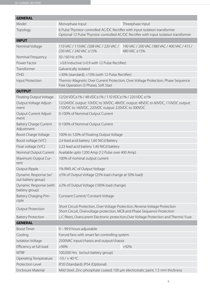| <b>GENERAL</b>                              |                                                                                                                                                                          |                                                               |  |  |  |
|---------------------------------------------|--------------------------------------------------------------------------------------------------------------------------------------------------------------------------|---------------------------------------------------------------|--|--|--|
| Model                                       | Monophase Input                                                                                                                                                          | Threephase Input                                              |  |  |  |
| Topology                                    | 6 Pulse Thyristor controlled AC/DC Rectifier with input isolation transformer<br>Optional 12 Pulse Thyristor controlled AC/DC Rectifier with input isolation transformer |                                                               |  |  |  |
| <b>INPUT</b>                                |                                                                                                                                                                          |                                                               |  |  |  |
| Nominal Voltage                             | 110 VAC / 115 VAC / 208 VAC / 220 VAC /<br>230 VAC / 240 VAC ±15%                                                                                                        | 190 VAC / 200 VAC / 380 VAC / 400 VAC / 415 /<br>480 VAC ±15% |  |  |  |
| Nominal Frequency                           | 50/60 Hz ±5%                                                                                                                                                             |                                                               |  |  |  |
| Power Factor                                | >0.8 Inductive (>0.9 with 12 Pulse Rectifier)                                                                                                                            |                                                               |  |  |  |
| Transformer                                 | Galvanically isolated                                                                                                                                                    |                                                               |  |  |  |
| <b>ITHD</b>                                 | <30% (standard); <10% (with 12 Pulse Rectifier)                                                                                                                          |                                                               |  |  |  |
| Input Protection                            | Thermic-Magnetic Over Current Protection, Over Voltage Protection, Phase Sequence<br>Free Operation (3 Phase), Soft Start                                                |                                                               |  |  |  |
| <b>OUTPUT</b>                               |                                                                                                                                                                          |                                                               |  |  |  |
| Floating Output Voltage                     | 12/24 VDC±1% / 48 VDC±1% / 110 VDC±1% / 220 VDC ±1%                                                                                                                      |                                                               |  |  |  |
| Output Voltage Adjust-<br>ment              | 12/24VDC output: 10VDC to 30VDC, 48VDC output: 48VDC to 60VDC, 110VDC output:<br>110VDC to 160VDC, 220VDC output: 220VDC to 300VDC                                       |                                                               |  |  |  |
| Output Current Adjust-<br>ment              | 0-100% of Nominal Output Current                                                                                                                                         |                                                               |  |  |  |
| <b>Battery Charge Current</b><br>Adjustment | 0-100% of Nominal Output Current                                                                                                                                         |                                                               |  |  |  |
| <b>Boost Charge Voltage</b>                 | 100% to 120% of Floating Output Voltage                                                                                                                                  |                                                               |  |  |  |
| Boost voltage (V/C)                         | 2,4 lead acid battery 1,60 NiCd Battery                                                                                                                                  |                                                               |  |  |  |
| Float voltage (V/C)                         | 2,23 lead acid battery 1,40 NiCd battery                                                                                                                                 |                                                               |  |  |  |
| Nominal Output Current                      | Available upto 1200 Amp (12 Pulse over 400 Amp)                                                                                                                          |                                                               |  |  |  |
| Maximum Output Cur-<br>rent                 | 100% of nominal output current                                                                                                                                           |                                                               |  |  |  |
| Output Ripple                               | 1% RMS AC of Output Voltage                                                                                                                                              |                                                               |  |  |  |
| Dynamic Response (w/<br>out battery group)  | ±5% of Output Voltage (25% load change at 50% load)                                                                                                                      |                                                               |  |  |  |
| Dynamic Response (with<br>battery group)    | ±2% of Output Voltage (100% load change)                                                                                                                                 |                                                               |  |  |  |
| Battery Charging Prin-<br>ciple             | Constant Current/ Constant Voltage                                                                                                                                       |                                                               |  |  |  |
| <b>Output Protection</b>                    | Short Circuit Protection, Over Voltage Protection, Reverse Voltage Protection<br>Short Circuit, Overvoltage protection, MCB and Phase Sequence Protection                |                                                               |  |  |  |
| <b>Battery Protection</b>                   | L-C filters, Overcurrent Electronic protection, Over Voltage Protection and Thermic Fuse                                                                                 |                                                               |  |  |  |
| <b>GENERAL</b>                              |                                                                                                                                                                          |                                                               |  |  |  |
| <b>Boost Timer</b>                          | 0 - 99.9 hours adjustable                                                                                                                                                |                                                               |  |  |  |
| Cooling                                     | Forced fans with smart fan controlling system                                                                                                                            |                                                               |  |  |  |
| <b>Isolation Voltage</b>                    | 2500VAC input/chassis and output/chassis                                                                                                                                 |                                                               |  |  |  |
| Efficiency at full load                     | $>92\%$<br>$>90\%$                                                                                                                                                       |                                                               |  |  |  |
| <b>MTBF</b>                                 | 100,000 Hrs. (w/out battery group)                                                                                                                                       |                                                               |  |  |  |
| Operating Temperature                       | $-10/ + 40$ °C                                                                                                                                                           |                                                               |  |  |  |
| Protection Level                            | IP20 (Standard); IP54 (Optional)                                                                                                                                         |                                                               |  |  |  |
| <b>Enclosure Material</b>                   | Mild Steel, Zinc-phosphate coated; 100 µm electrostatic paint; 1.5 mm thickness                                                                                          |                                                               |  |  |  |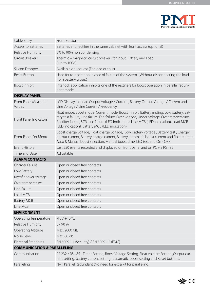

| Cable Entry                            | Front Botttom                                                                                                                                                                                                                                                                                                                         |
|----------------------------------------|---------------------------------------------------------------------------------------------------------------------------------------------------------------------------------------------------------------------------------------------------------------------------------------------------------------------------------------|
| <b>Access to Batteries</b>             | Batteries and rectifier in the same cabinet with front access (optional)                                                                                                                                                                                                                                                              |
| Relative Humidity                      | 5% to 90% non condensing                                                                                                                                                                                                                                                                                                              |
| Circuit Breakers                       | Thermic - magnetic circuit breakers for Input, Battery and Load<br>(up to 100A)                                                                                                                                                                                                                                                       |
| Silicon Dropper                        | Available on request (For load output)                                                                                                                                                                                                                                                                                                |
| <b>Reset Button</b>                    | Used for re-operation in case of failure of the system. (Without disconnecting the load<br>from battery group)                                                                                                                                                                                                                        |
| Boost inhibit                          | Interlock application inhibits one of the rectifiers for boost operation in parallel redun-<br>dant mode                                                                                                                                                                                                                              |
| <b>DISPLAY PANEL</b>                   |                                                                                                                                                                                                                                                                                                                                       |
| Front Panel Measured<br>Values         | LCD Display for Load Output Voltage / Current, Battery Output Voltage / Current and<br>Line Voltage / Line Current / Frequency                                                                                                                                                                                                        |
| <b>Front Panel Indicators</b>          | Float mode, Boost mode, Current mode, Boost inhibit, Battery ending, Low battery, Bat-<br>tery test failure, Line failure, Fan failure, Over voltage, Under voltage, Over temperature,<br>Rectifier failure, SCR fuse failure (LED indication), Line MCB (LED indication), Load MCB<br>(LED indication), Battery MCB (LED indication) |
| Front Panel Set Menu                   | Boost charge voltage, Float charge voltage, Low battery voltage, Battery test, Charger<br>output current, Battery charge current, Battery automatic boost current and float current,<br>Auto & Manual boost selection, Manual boost time, LED test and On - OFF.                                                                      |
| Event History                          | Last 250 events recorded and displayed on front panel and on PC via RS 485                                                                                                                                                                                                                                                            |
| Time and Date                          | Adjustable                                                                                                                                                                                                                                                                                                                            |
| <b>ALARM CONTACTS</b>                  |                                                                                                                                                                                                                                                                                                                                       |
| Charger Failure                        | Open or closed free contacts                                                                                                                                                                                                                                                                                                          |
| Low Battery                            | Open or closed free contacts                                                                                                                                                                                                                                                                                                          |
| Rectifier over voltage                 | Open or closed free contacts                                                                                                                                                                                                                                                                                                          |
| Over temperature                       | Open or closed free contacts                                                                                                                                                                                                                                                                                                          |
| Line Failure                           | Open or closed free contacts                                                                                                                                                                                                                                                                                                          |
| Load MCB                               | Open or closed free contacts                                                                                                                                                                                                                                                                                                          |
| <b>Battery MCB</b>                     | Open or closed free contacts                                                                                                                                                                                                                                                                                                          |
| Line MCB                               | Open or closed free contacts                                                                                                                                                                                                                                                                                                          |
| <b>ENVIRONMENT</b>                     |                                                                                                                                                                                                                                                                                                                                       |
| Operating Temperature                  | $-10/ +40 °C$                                                                                                                                                                                                                                                                                                                         |
| Relative Humidity                      | $5 - 90%$                                                                                                                                                                                                                                                                                                                             |
| Operating Altitude                     | Max. 2000 Mt.                                                                                                                                                                                                                                                                                                                         |
| Noise Level                            | Max. 60 db                                                                                                                                                                                                                                                                                                                            |
| <b>Electrical Standards</b>            | EN 50091-1 (Security) / EN 50091-2 (EMC)                                                                                                                                                                                                                                                                                              |
| <b>COMMUNICATION &amp; PARALLELING</b> |                                                                                                                                                                                                                                                                                                                                       |
| Communication                          | RS 232 / RS 485 - Timer Setting, Boost Voltage Setting, Float Voltage Setting, Output cur-<br>rent setting, battery current setting, automatic boost setting and Reset buttons.                                                                                                                                                       |
| Paralleling                            | N+1 Parallel Redundant (No need for extra kit for paralleling)                                                                                                                                                                                                                                                                        |